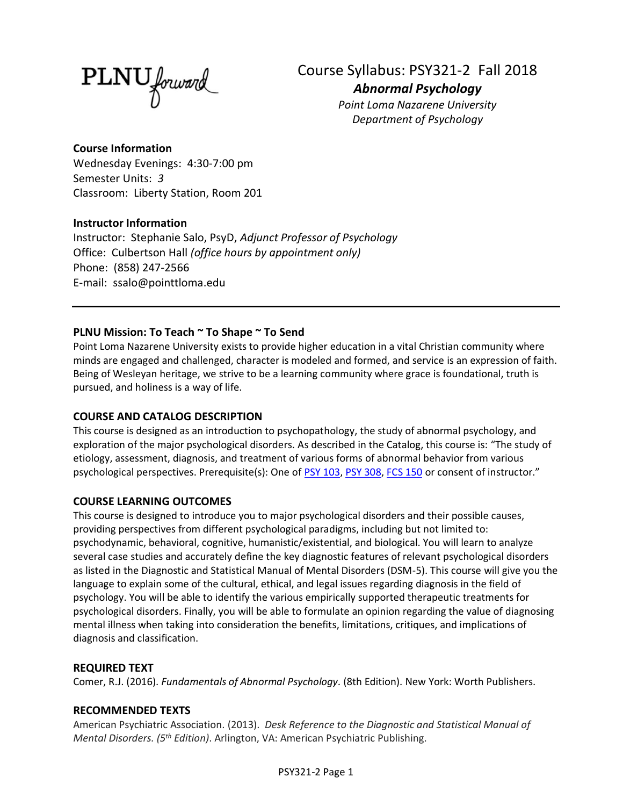**PLNU** forward

Course Syllabus: PSY321-2 Fall 2018 *Abnormal Psychology*

*Point Loma Nazarene University Department of Psychology*

## **Course Information**

Wednesday Evenings: 4:30-7:00 pm Semester Units: *3* Classroom: Liberty Station, Room 201

## **Instructor Information**

Instructor: Stephanie Salo, PsyD, *Adjunct Professor of Psychology* Office: Culbertson Hall *(office hours by appointment only)* Phone: (858) 247-2566 E-mail: ssalo@pointtloma.edu

## **PLNU Mission: To Teach ~ To Shape ~ To Send**

Point Loma Nazarene University exists to provide higher education in a vital Christian community where minds are engaged and challenged, character is modeled and formed, and service is an expression of faith. Being of Wesleyan heritage, we strive to be a learning community where grace is foundational, truth is pursued, and holiness is a way of life.

## **COURSE AND CATALOG DESCRIPTION**

This course is designed as an introduction to psychopathology, the study of abnormal psychology, and exploration of the major psychological disorders. As described in the Catalog, this course is: "The study of etiology, assessment, diagnosis, and treatment of various forms of abnormal behavior from various psychological perspectives. Prerequisite(s): One of [PSY 103,](https://catalog.pointloma.edu/search_advanced.php?cur_cat_oid=35&search_database=Search&search_db=Search&cpage=1&ecpage=1&ppage=1&spage=1&tpage=1&location=3&filter%5Bkeyword%5D=PSY321#tt7283) [PSY 308,](https://catalog.pointloma.edu/search_advanced.php?cur_cat_oid=35&search_database=Search&search_db=Search&cpage=1&ecpage=1&ppage=1&spage=1&tpage=1&location=3&filter%5Bkeyword%5D=PSY321#tt3310) [FCS 150](https://catalog.pointloma.edu/search_advanced.php?cur_cat_oid=35&search_database=Search&search_db=Search&cpage=1&ecpage=1&ppage=1&spage=1&tpage=1&location=3&filter%5Bkeyword%5D=PSY321#tt1004) or consent of instructor."

## **COURSE LEARNING OUTCOMES**

This course is designed to introduce you to major psychological disorders and their possible causes, providing perspectives from different psychological paradigms, including but not limited to: psychodynamic, behavioral, cognitive, humanistic/existential, and biological. You will learn to analyze several case studies and accurately define the key diagnostic features of relevant psychological disorders as listed in the Diagnostic and Statistical Manual of Mental Disorders (DSM-5). This course will give you the language to explain some of the cultural, ethical, and legal issues regarding diagnosis in the field of psychology. You will be able to identify the various empirically supported therapeutic treatments for psychological disorders. Finally, you will be able to formulate an opinion regarding the value of diagnosing mental illness when taking into consideration the benefits, limitations, critiques, and implications of diagnosis and classification.

## **REQUIRED TEXT**

Comer, R.J. (2016). *Fundamentals of Abnormal Psychology.* (8th Edition). New York: Worth Publishers.

## **RECOMMENDED TEXTS**

American Psychiatric Association. (2013). *Desk Reference to the Diagnostic and Statistical Manual of Mental Disorders. (5 th Edition)*. Arlington, VA: American Psychiatric Publishing.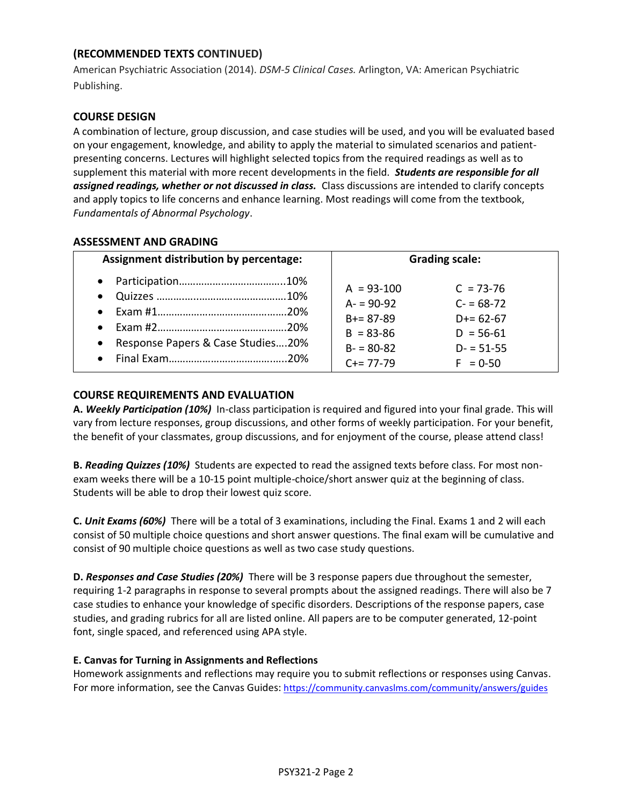# **(RECOMMENDED TEXTS CONTINUED)**

American Psychiatric Association (2014). *DSM-5 Clinical Cases.* Arlington, VA: American Psychiatric Publishing.

## **COURSE DESIGN**

A combination of lecture, group discussion, and case studies will be used, and you will be evaluated based on your engagement, knowledge, and ability to apply the material to simulated scenarios and patientpresenting concerns. Lectures will highlight selected topics from the required readings as well as to supplement this material with more recent developments in the field. *Students are responsible for all assigned readings, whether or not discussed in class.* Class discussions are intended to clarify concepts and apply topics to life concerns and enhance learning. Most readings will come from the textbook, *Fundamentals of Abnormal Psychology*.

## **ASSESSMENT AND GRADING**

| Assignment distribution by percentage:                                                | <b>Grading scale:</b>                                                                                                                                                                      |
|---------------------------------------------------------------------------------------|--------------------------------------------------------------------------------------------------------------------------------------------------------------------------------------------|
| $\bullet$<br>$\bullet$<br>Response Papers & Case Studies20%<br>$\bullet$<br>$\bullet$ | $C = 73 - 76$<br>$A = 93 - 100$<br>$A = 90-92$<br>$C = 68-72$<br>$B+= 87-89$<br>$D+= 62-67$<br>$B = 83 - 86$<br>$D = 56-61$<br>$B - 80 - 82$<br>$D - 51 - 55$<br>$C+= 77-79$<br>$F = 0.50$ |

## **COURSE REQUIREMENTS AND EVALUATION**

**A.** *Weekly Participation (10%)* In-class participation is required and figured into your final grade. This will vary from lecture responses, group discussions, and other forms of weekly participation. For your benefit, the benefit of your classmates, group discussions, and for enjoyment of the course, please attend class!

**B.** *Reading Quizzes (10%)* Students are expected to read the assigned texts before class. For most nonexam weeks there will be a 10-15 point multiple-choice/short answer quiz at the beginning of class. Students will be able to drop their lowest quiz score.

**C.** *Unit Exams (60%)* There will be a total of 3 examinations, including the Final. Exams 1 and 2 will each consist of 50 multiple choice questions and short answer questions. The final exam will be cumulative and consist of 90 multiple choice questions as well as two case study questions.

**D.** *Responses and Case Studies (20%)* There will be 3 response papers due throughout the semester, requiring 1-2 paragraphs in response to several prompts about the assigned readings. There will also be 7 case studies to enhance your knowledge of specific disorders. Descriptions of the response papers, case studies, and grading rubrics for all are listed online. All papers are to be computer generated, 12-point font, single spaced, and referenced using APA style.

## **E. Canvas for Turning in Assignments and Reflections**

Homework assignments and reflections may require you to submit reflections or responses using Canvas. For more information, see the Canvas Guides: <https://community.canvaslms.com/community/answers/guides>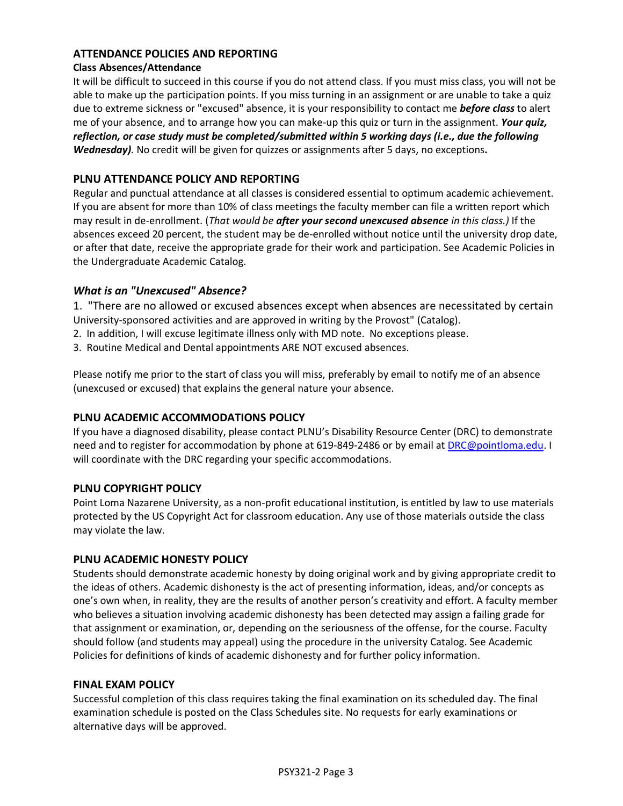## **ATTENDANCE POLICIES AND REPORTING**

#### **Class Absences/Attendance**

It will be difficult to succeed in this course if you do not attend class. If you must miss class, you will not be able to make up the participation points. If you miss turning in an assignment or are unable to take a quiz due to extreme sickness or "excused" absence, it is your responsibility to contact me *before class* to alert me of your absence, and to arrange how you can make-up this quiz or turn in the assignment. *Your quiz, reflection, or case study must be completed/submitted within 5 working days (i.e., due the following Wednesday).* No credit will be given for quizzes or assignments after 5 days, no exceptions**.**

## **PLNU ATTENDANCE POLICY AND REPORTING**

Regular and punctual attendance at all classes is considered essential to optimum academic achievement. If you are absent for more than 10% of class meetings the faculty member can file a written report which may result in de-enrollment. (*That would be after your second unexcused absence in this class.)* If the absences exceed 20 percent, the student may be de-enrolled without notice until the university drop date, or after that date, receive the appropriate grade for their work and participation. See Academic Policies in the Undergraduate Academic Catalog.

## *What is an "Unexcused" Absence?*

1. "There are no allowed or excused absences except when absences are necessitated by certain University-sponsored activities and are approved in writing by the Provost" (Catalog).

- 2. In addition, I will excuse legitimate illness only with MD note. No exceptions please.
- 3. Routine Medical and Dental appointments ARE NOT excused absences.

Please notify me prior to the start of class you will miss, preferably by email to notify me of an absence (unexcused or excused) that explains the general nature your absence.

## **PLNU ACADEMIC ACCOMMODATIONS POLICY**

If you have a diagnosed disability, please contact PLNU's Disability Resource Center (DRC) to demonstrate need and to register for accommodation by phone at 619-849-2486 or by email at [DRC@pointloma.edu.](mailto:DRC@pointloma.edu) I will coordinate with the DRC regarding your specific accommodations.

## **PLNU COPYRIGHT POLICY**

Point Loma Nazarene University, as a non-profit educational institution, is entitled by law to use materials protected by the US Copyright Act for classroom education. Any use of those materials outside the class may violate the law.

## **PLNU ACADEMIC HONESTY POLICY**

Students should demonstrate academic honesty by doing original work and by giving appropriate credit to the ideas of others. Academic dishonesty is the act of presenting information, ideas, and/or concepts as one's own when, in reality, they are the results of another person's creativity and effort. A faculty member who believes a situation involving academic dishonesty has been detected may assign a failing grade for that assignment or examination, or, depending on the seriousness of the offense, for the course. Faculty should follow (and students may appeal) using the procedure in the university Catalog. See Academic Policies for definitions of kinds of academic dishonesty and for further policy information.

## **FINAL EXAM POLICY**

Successful completion of this class requires taking the final examination on its scheduled day. The final examination schedule is posted on the Class Schedules site. No requests for early examinations or alternative days will be approved.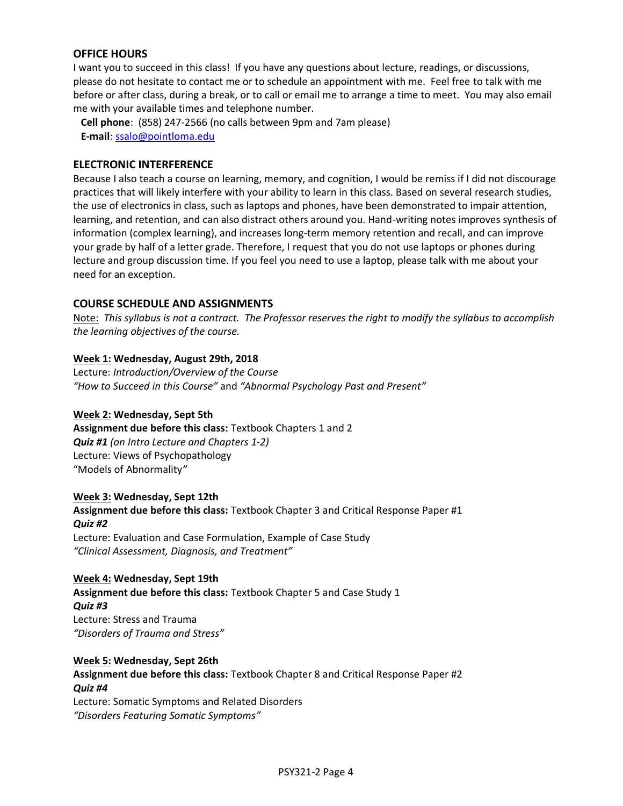## **OFFICE HOURS**

I want you to succeed in this class! If you have any questions about lecture, readings, or discussions, please do not hesitate to contact me or to schedule an appointment with me. Feel free to talk with me before or after class, during a break, or to call or email me to arrange a time to meet. You may also email me with your available times and telephone number.

 **Cell phone**: (858) 247-2566 (no calls between 9pm and 7am please)  **E-mail**: [ssalo@pointloma.edu](mailto:ssalo@pointloma.edu)

#### **ELECTRONIC INTERFERENCE**

Because I also teach a course on learning, memory, and cognition, I would be remiss if I did not discourage practices that will likely interfere with your ability to learn in this class. Based on several research studies, the use of electronics in class, such as laptops and phones, have been demonstrated to impair attention, learning, and retention, and can also distract others around you. Hand-writing notes improves synthesis of information (complex learning), and increases long-term memory retention and recall, and can improve your grade by half of a letter grade. Therefore, I request that you do not use laptops or phones during lecture and group discussion time. If you feel you need to use a laptop, please talk with me about your need for an exception.

#### **COURSE SCHEDULE AND ASSIGNMENTS**

Note: *This syllabus is not a contract. The Professor reserves the right to modify the syllabus to accomplish the learning objectives of the course.*

#### **Week 1: Wednesday, August 29th, 2018**

Lecture: *Introduction/Overview of the Course "How to Succeed in this Course"* and *"Abnormal Psychology Past and Present"* 

#### **Week 2: Wednesday, Sept 5th**

**Assignment due before this class:** Textbook Chapters 1 and 2 *Quiz #1 (on Intro Lecture and Chapters 1-2)* Lecture: Views of Psychopathology "Models of Abnormality*"*

#### **Week 3: Wednesday, Sept 12th**

**Assignment due before this class:** Textbook Chapter 3 and Critical Response Paper #1 *Quiz #2*  Lecture: Evaluation and Case Formulation, Example of Case Study

## *"Clinical Assessment, Diagnosis, and Treatment"*

#### **Week 4: Wednesday, Sept 19th**

**Assignment due before this class:** Textbook Chapter 5 and Case Study 1 *Quiz #3* Lecture: Stress and Trauma *"Disorders of Trauma and Stress"*

#### **Week 5: Wednesday, Sept 26th**

**Assignment due before this class:** Textbook Chapter 8 and Critical Response Paper #2 *Quiz #4* Lecture: Somatic Symptoms and Related Disorders

*"Disorders Featuring Somatic Symptoms"*